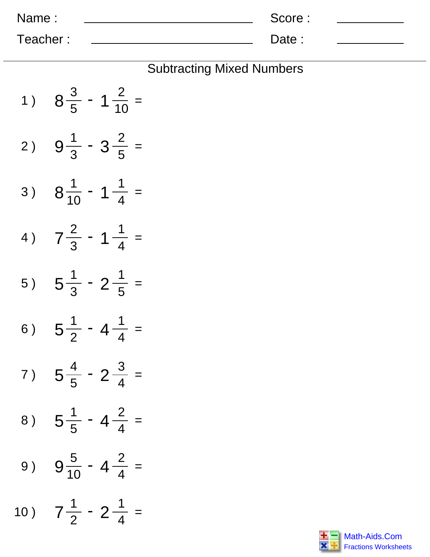| Name:    | Score: |  |
|----------|--------|--|
| Teacher: | Date:  |  |

## Subtracting Mixed Numbers

| 1)  | $8\frac{3}{5}$ - 1 $\frac{2}{10}$ =  |
|-----|--------------------------------------|
| 2)  | $9\frac{1}{3} - 3\frac{2}{5} =$      |
| 3)  | $8\frac{1}{10}$ - 1 $\frac{1}{4}$ =  |
| 4)  | $7\frac{2}{3}$ - 1 $\frac{1}{4}$ =   |
| 5)  | $5\frac{1}{3}$ - 2 $\frac{1}{5}$ =   |
| 6)  | $5\frac{1}{2}$ - 4 $\frac{1}{4}$ =   |
|     | $5\frac{4}{5}$ - 2 $\frac{3}{4}$ =   |
|     | 8) $5\frac{1}{5}$ - $4\frac{2}{4}$ = |
| 9)  | $9\frac{5}{10}$ - 4 $\frac{2}{4}$ =  |
| 10) | $7\frac{1}{2}$ - 2 $\frac{1}{4}$ =   |